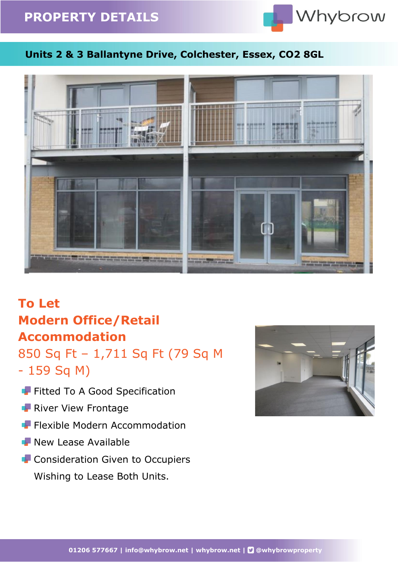# **PROPERTY DETAILS**



### **Units 2 & 3 Ballantyne Drive, Colchester, Essex, CO2 8GL**



# **To Let Modern Office/Retail Accommodation**

850 Sq Ft – 1,711 Sq Ft (79 Sq M - 159 Sq M)

- Fitted To A Good Specification
- **River View Frontage**
- **F** Flexible Modern Accommodation
- **New Lease Available**
- **F** Consideration Given to Occupiers Wishing to Lease Both Units.